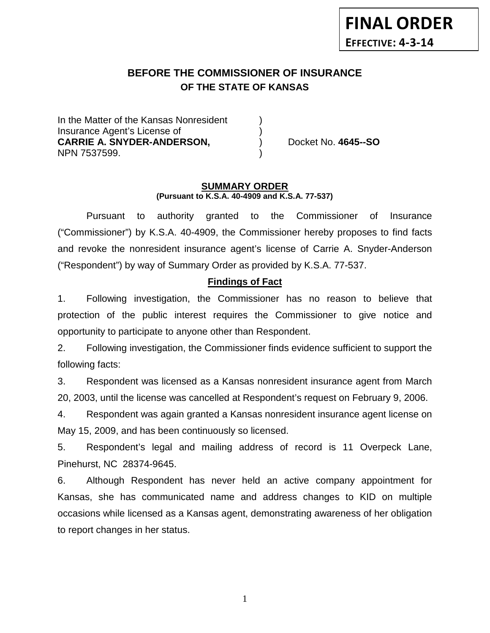# **BEFORE THE COMMISSIONER OF INSURANCE OF THE STATE OF KANSAS**

In the Matter of the Kansas Nonresident Insurance Agent's License of ) **CARRIE A. SNYDER-ANDERSON,** ) Docket No. **4645--SO** NPN 7537599. )

#### **SUMMARY ORDER (Pursuant to K.S.A. 40-4909 and K.S.A. 77-537)**

Pursuant to authority granted to the Commissioner of Insurance ("Commissioner") by K.S.A. 40-4909, the Commissioner hereby proposes to find facts and revoke the nonresident insurance agent's license of Carrie A. Snyder-Anderson ("Respondent") by way of Summary Order as provided by K.S.A. 77-537.

### **Findings of Fact**

1. Following investigation, the Commissioner has no reason to believe that protection of the public interest requires the Commissioner to give notice and opportunity to participate to anyone other than Respondent.

2. Following investigation, the Commissioner finds evidence sufficient to support the following facts:

3. Respondent was licensed as a Kansas nonresident insurance agent from March 20, 2003, until the license was cancelled at Respondent's request on February 9, 2006.

4. Respondent was again granted a Kansas nonresident insurance agent license on May 15, 2009, and has been continuously so licensed.

5. Respondent's legal and mailing address of record is 11 Overpeck Lane, Pinehurst, NC 28374-9645.

6. Although Respondent has never held an active company appointment for Kansas, she has communicated name and address changes to KID on multiple occasions while licensed as a Kansas agent, demonstrating awareness of her obligation to report changes in her status.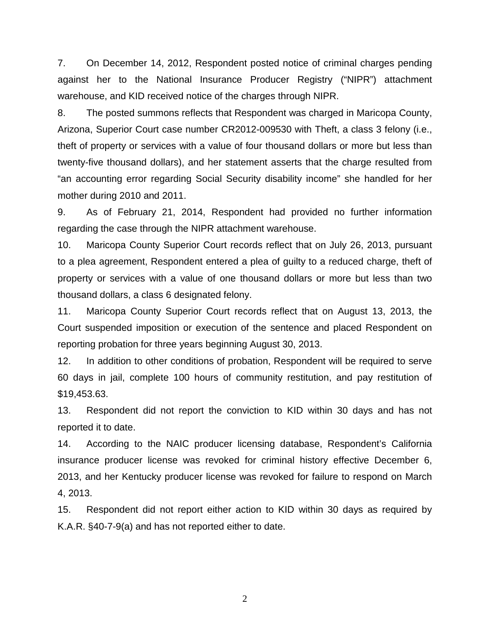7. On December 14, 2012, Respondent posted notice of criminal charges pending against her to the National Insurance Producer Registry ("NIPR") attachment warehouse, and KID received notice of the charges through NIPR.

8. The posted summons reflects that Respondent was charged in Maricopa County, Arizona, Superior Court case number CR2012-009530 with Theft, a class 3 felony (i.e., theft of property or services with a value of four thousand dollars or more but less than twenty-five thousand dollars), and her statement asserts that the charge resulted from "an accounting error regarding Social Security disability income" she handled for her mother during 2010 and 2011.

9. As of February 21, 2014, Respondent had provided no further information regarding the case through the NIPR attachment warehouse.

10. Maricopa County Superior Court records reflect that on July 26, 2013, pursuant to a plea agreement, Respondent entered a plea of guilty to a reduced charge, theft of property or services with a value of one thousand dollars or more but less than two thousand dollars, a class 6 designated felony.

11. Maricopa County Superior Court records reflect that on August 13, 2013, the Court suspended imposition or execution of the sentence and placed Respondent on reporting probation for three years beginning August 30, 2013.

12. In addition to other conditions of probation, Respondent will be required to serve 60 days in jail, complete 100 hours of community restitution, and pay restitution of \$19,453.63.

13. Respondent did not report the conviction to KID within 30 days and has not reported it to date.

14. According to the NAIC producer licensing database, Respondent's California insurance producer license was revoked for criminal history effective December 6, 2013, and her Kentucky producer license was revoked for failure to respond on March 4, 2013.

15. Respondent did not report either action to KID within 30 days as required by K.A.R. §40-7-9(a) and has not reported either to date.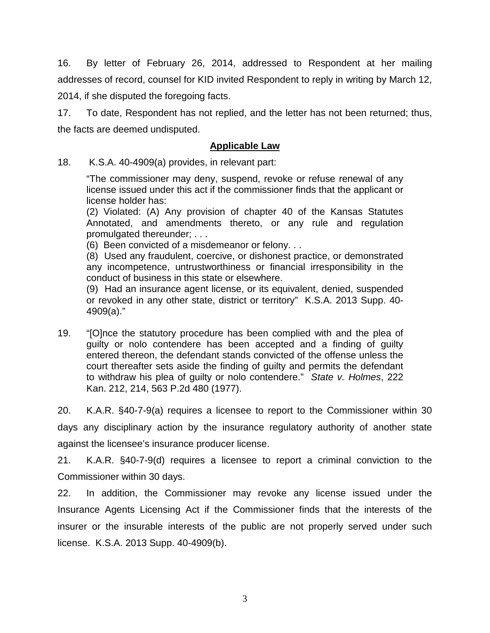16. By letter of February 26, 2014, addressed to Respondent at her mailing addresses of record, counsel for KID invited Respondent to reply in writing by March 12, 2014, if she disputed the foregoing facts.

17. To date, Respondent has not replied, and the letter has not been returned; thus, the facts are deemed undisputed.

### **Applicable Law**

18. K.S.A. 40-4909(a) provides, in relevant part:

"The commissioner may deny, suspend, revoke or refuse renewal of any license issued under this act if the commissioner finds that the applicant or license holder has:

(2) Violated: (A) Any provision of chapter 40 of the Kansas Statutes Annotated, and amendments thereto, or any rule and regulation promulgated thereunder; . . .

(6) Been convicted of a misdemeanor or felony. . .

(8) Used any fraudulent, coercive, or dishonest practice, or demonstrated any incompetence, untrustworthiness or financial irresponsibility in the conduct of business in this state or elsewhere.

(9) Had an insurance agent license, or its equivalent, denied, suspended or revoked in any other state, district or territory" K.S.A. 2013 Supp. 40- 4909(a)."

19. "[O]nce the statutory procedure has been complied with and the plea of guilty or nolo contendere has been accepted and a finding of guilty entered thereon, the defendant stands convicted of the offense unless the court thereafter sets aside the finding of guilty and permits the defendant to withdraw his plea of guilty or nolo contendere." *State v. Holmes*, 222 Kan. 212, 214, 563 P.2d 480 (1977).

20. K.A.R. §40-7-9(a) requires a licensee to report to the Commissioner within 30 days any disciplinary action by the insurance regulatory authority of another state against the licensee's insurance producer license.

21. K.A.R. §40-7-9(d) requires a licensee to report a criminal conviction to the Commissioner within 30 days.

22. In addition, the Commissioner may revoke any license issued under the Insurance Agents Licensing Act if the Commissioner finds that the interests of the insurer or the insurable interests of the public are not properly served under such license. K.S.A. 2013 Supp. 40-4909(b).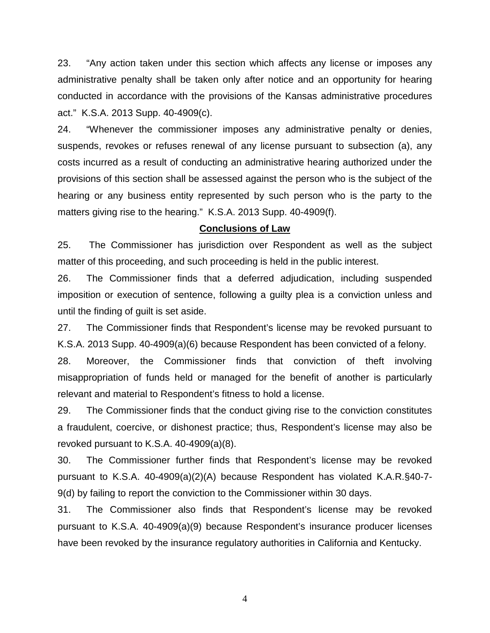23. "Any action taken under this section which affects any license or imposes any administrative penalty shall be taken only after notice and an opportunity for hearing conducted in accordance with the provisions of the Kansas administrative procedures act." K.S.A. 2013 Supp. 40-4909(c).

24. "Whenever the commissioner imposes any administrative penalty or denies, suspends, revokes or refuses renewal of any license pursuant to subsection (a), any costs incurred as a result of conducting an administrative hearing authorized under the provisions of this section shall be assessed against the person who is the subject of the hearing or any business entity represented by such person who is the party to the matters giving rise to the hearing." K.S.A. 2013 Supp. 40-4909(f).

### **Conclusions of Law**

25. The Commissioner has jurisdiction over Respondent as well as the subject matter of this proceeding, and such proceeding is held in the public interest.

26. The Commissioner finds that a deferred adjudication, including suspended imposition or execution of sentence, following a guilty plea is a conviction unless and until the finding of guilt is set aside.

27. The Commissioner finds that Respondent's license may be revoked pursuant to K.S.A. 2013 Supp. 40-4909(a)(6) because Respondent has been convicted of a felony.

28. Moreover, the Commissioner finds that conviction of theft involving misappropriation of funds held or managed for the benefit of another is particularly relevant and material to Respondent's fitness to hold a license.

29. The Commissioner finds that the conduct giving rise to the conviction constitutes a fraudulent, coercive, or dishonest practice; thus, Respondent's license may also be revoked pursuant to K.S.A. 40-4909(a)(8).

30. The Commissioner further finds that Respondent's license may be revoked pursuant to K.S.A. 40-4909(a)(2)(A) because Respondent has violated K.A.R.§40-7- 9(d) by failing to report the conviction to the Commissioner within 30 days.

31. The Commissioner also finds that Respondent's license may be revoked pursuant to K.S.A. 40-4909(a)(9) because Respondent's insurance producer licenses have been revoked by the insurance regulatory authorities in California and Kentucky.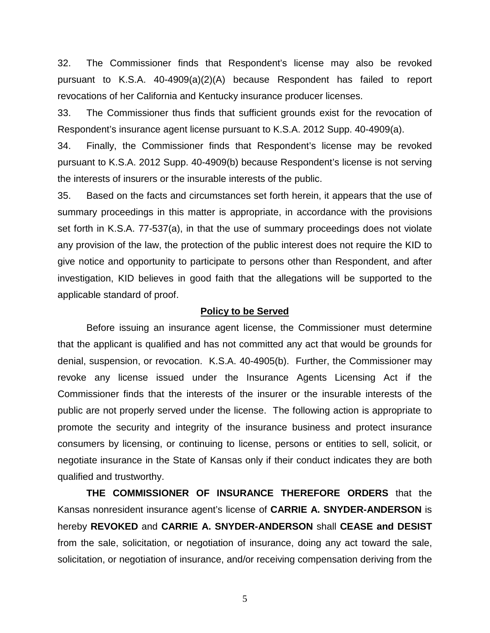32. The Commissioner finds that Respondent's license may also be revoked pursuant to K.S.A. 40-4909(a)(2)(A) because Respondent has failed to report revocations of her California and Kentucky insurance producer licenses.

33. The Commissioner thus finds that sufficient grounds exist for the revocation of Respondent's insurance agent license pursuant to K.S.A. 2012 Supp. 40-4909(a).

34. Finally, the Commissioner finds that Respondent's license may be revoked pursuant to K.S.A. 2012 Supp. 40-4909(b) because Respondent's license is not serving the interests of insurers or the insurable interests of the public.

35. Based on the facts and circumstances set forth herein, it appears that the use of summary proceedings in this matter is appropriate, in accordance with the provisions set forth in K.S.A. 77-537(a), in that the use of summary proceedings does not violate any provision of the law, the protection of the public interest does not require the KID to give notice and opportunity to participate to persons other than Respondent, and after investigation, KID believes in good faith that the allegations will be supported to the applicable standard of proof.

#### **Policy to be Served**

Before issuing an insurance agent license, the Commissioner must determine that the applicant is qualified and has not committed any act that would be grounds for denial, suspension, or revocation. K.S.A. 40-4905(b). Further, the Commissioner may revoke any license issued under the Insurance Agents Licensing Act if the Commissioner finds that the interests of the insurer or the insurable interests of the public are not properly served under the license. The following action is appropriate to promote the security and integrity of the insurance business and protect insurance consumers by licensing, or continuing to license, persons or entities to sell, solicit, or negotiate insurance in the State of Kansas only if their conduct indicates they are both qualified and trustworthy.

**THE COMMISSIONER OF INSURANCE THEREFORE ORDERS** that the Kansas nonresident insurance agent's license of **CARRIE A. SNYDER-ANDERSON** is hereby **REVOKED** and **CARRIE A. SNYDER-ANDERSON** shall **CEASE and DESIST** from the sale, solicitation, or negotiation of insurance, doing any act toward the sale, solicitation, or negotiation of insurance, and/or receiving compensation deriving from the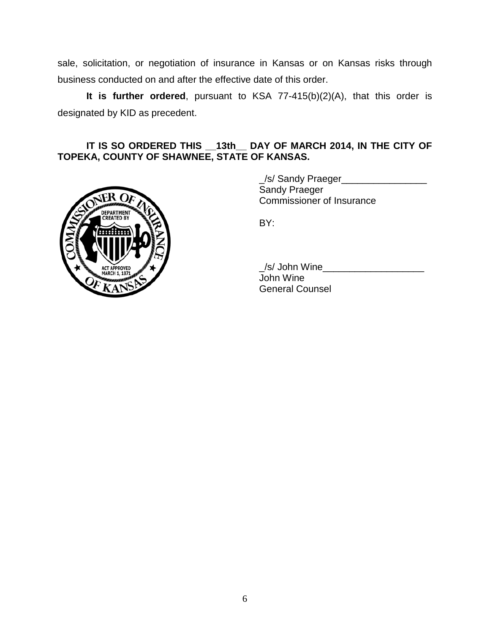sale, solicitation, or negotiation of insurance in Kansas or on Kansas risks through business conducted on and after the effective date of this order.

**It is further ordered**, pursuant to KSA 77-415(b)(2)(A), that this order is designated by KID as precedent.

## **IT IS SO ORDERED THIS \_\_13th\_\_ DAY OF MARCH 2014, IN THE CITY OF TOPEKA, COUNTY OF SHAWNEE, STATE OF KANSAS.**



\_/s/ Sandy Praeger\_\_\_\_\_\_\_\_\_\_\_\_\_\_\_\_ Sandy Praeger Commissioner of Insurance

BY:

/s/ John Wine John Wine General Counsel